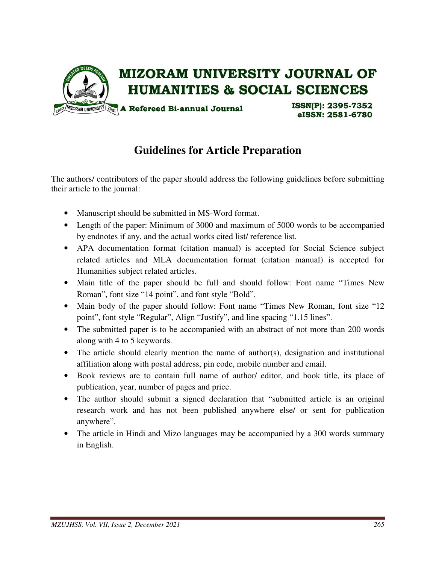

# **Guidelines for Article Preparation**

The authors/ contributors of the paper should address the following guidelines before submitting their article to the journal:

- Manuscript should be submitted in MS-Word format.
- Length of the paper: Minimum of 3000 and maximum of 5000 words to be accompanied by endnotes if any, and the actual works cited list/ reference list.
- APA documentation format (citation manual) is accepted for Social Science subject related articles and MLA documentation format (citation manual) is accepted for Humanities subject related articles.
- Main title of the paper should be full and should follow: Font name "Times New Roman", font size "14 point", and font style "Bold".
- Main body of the paper should follow: Font name "Times New Roman, font size "12 point", font style "Regular", Align "Justify", and line spacing "1.15 lines".
- The submitted paper is to be accompanied with an abstract of not more than 200 words along with 4 to 5 keywords.
- The article should clearly mention the name of author(s), designation and institutional affiliation along with postal address, pin code, mobile number and email.
- Book reviews are to contain full name of author/ editor, and book title, its place of publication, year, number of pages and price.
- The author should submit a signed declaration that "submitted article is an original research work and has not been published anywhere else/ or sent for publication anywhere".
- The article in Hindi and Mizo languages may be accompanied by a 300 words summary in English.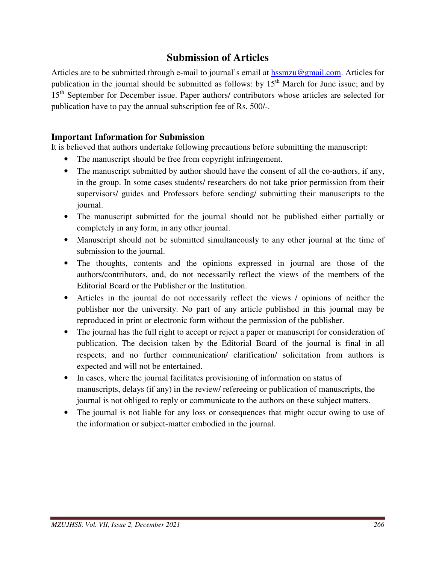## **Submission of Articles**

Articles are to be submitted through e-mail to journal's email at hssmzu@gmail.com. Articles for publication in the journal should be submitted as follows: by  $15<sup>th</sup>$  March for June issue; and by 15<sup>th</sup> September for December issue. Paper authors/ contributors whose articles are selected for publication have to pay the annual subscription fee of Rs. 500/-.

## **Important Information for Submission**

It is believed that authors undertake following precautions before submitting the manuscript:

- The manuscript should be free from copyright infringement.
- The manuscript submitted by author should have the consent of all the co-authors, if any, in the group. In some cases students/ researchers do not take prior permission from their supervisors/ guides and Professors before sending/ submitting their manuscripts to the journal.
- The manuscript submitted for the journal should not be published either partially or completely in any form, in any other journal.
- Manuscript should not be submitted simultaneously to any other journal at the time of submission to the journal.
- The thoughts, contents and the opinions expressed in journal are those of the authors/contributors, and, do not necessarily reflect the views of the members of the Editorial Board or the Publisher or the Institution.
- Articles in the journal do not necessarily reflect the views / opinions of neither the publisher nor the university. No part of any article published in this journal may be reproduced in print or electronic form without the permission of the publisher.
- The journal has the full right to accept or reject a paper or manuscript for consideration of publication. The decision taken by the Editorial Board of the journal is final in all respects, and no further communication/ clarification/ solicitation from authors is expected and will not be entertained.
- In cases, where the journal facilitates provisioning of information on status of manuscripts, delays (if any) in the review/ refereeing or publication of manuscripts, the journal is not obliged to reply or communicate to the authors on these subject matters.
- The journal is not liable for any loss or consequences that might occur owing to use of the information or subject-matter embodied in the journal.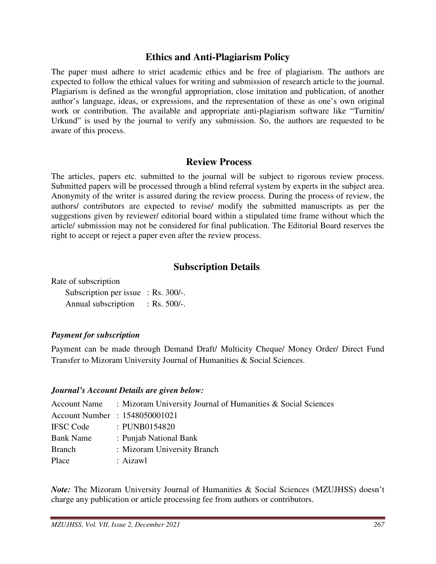## **Ethics and Anti-Plagiarism Policy**

The paper must adhere to strict academic ethics and be free of plagiarism. The authors are expected to follow the ethical values for writing and submission of research article to the journal. Plagiarism is defined as the wrongful appropriation, close imitation and publication, of another author's language, ideas, or expressions, and the representation of these as one's own original work or contribution. The available and appropriate anti-plagiarism software like "Turnitin/ Urkund" is used by the journal to verify any submission. So, the authors are requested to be aware of this process.

## **Review Process**

The articles, papers etc. submitted to the journal will be subject to rigorous review process. Submitted papers will be processed through a blind referral system by experts in the subject area. Anonymity of the writer is assured during the review process. During the process of review, the authors/ contributors are expected to revise/ modify the submitted manuscripts as per the suggestions given by reviewer/ editorial board within a stipulated time frame without which the article/ submission may not be considered for final publication. The Editorial Board reserves the right to accept or reject a paper even after the review process.

## **Subscription Details**

Rate of subscription

| Subscription per issue $:$ Rs. 300/-. |                 |
|---------------------------------------|-----------------|
| Annual subscription                   | : Rs. $500/-$ . |

#### *Payment for subscription*

Payment can be made through Demand Draft/ Multicity Cheque/ Money Order/ Direct Fund Transfer to Mizoram University Journal of Humanities & Social Sciences.

#### *Journal's Account Details are given below:*

| <b>Account Name</b> | : Mizoram University Journal of Humanities $& Social Sciences$ |
|---------------------|----------------------------------------------------------------|
|                     | Account Number : 1548050001021                                 |
| <b>IFSC</b> Code    | : PUNB0154820                                                  |
| <b>Bank Name</b>    | : Punjab National Bank                                         |
| <b>Branch</b>       | : Mizoram University Branch                                    |
| Place               | : Aizawl                                                       |

*Note:* The Mizoram University Journal of Humanities & Social Sciences (MZUJHSS) doesn't charge any publication or article processing fee from authors or contributors.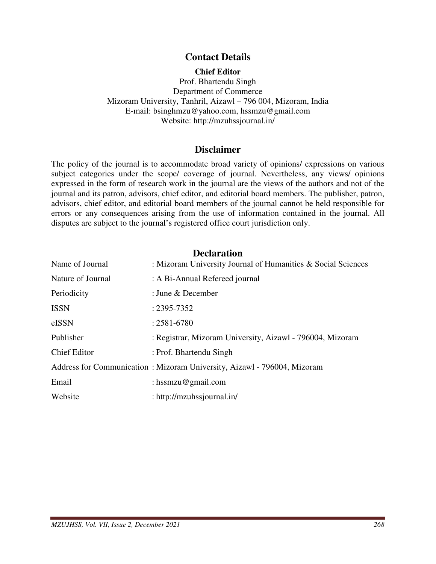## **Contact Details**

#### **Chief Editor**

Prof. Bhartendu Singh Department of Commerce Mizoram University, Tanhril, Aizawl – 796 004, Mizoram, India E-mail: bsinghmzu@yahoo.com, hssmzu@gmail.com Website: http://mzuhssjournal.in/

#### **Disclaimer**

The policy of the journal is to accommodate broad variety of opinions/ expressions on various subject categories under the scope/ coverage of journal. Nevertheless, any views/ opinions expressed in the form of research work in the journal are the views of the authors and not of the journal and its patron, advisors, chief editor, and editorial board members. The publisher, patron, advisors, chief editor, and editorial board members of the journal cannot be held responsible for errors or any consequences arising from the use of information contained in the journal. All disputes are subject to the journal's registered office court jurisdiction only.

#### **Declaration**

| Name of Journal     | : Mizoram University Journal of Humanities & Social Sciences            |
|---------------------|-------------------------------------------------------------------------|
| Nature of Journal   | : A Bi-Annual Refereed journal                                          |
| Periodicity         | : June & December                                                       |
| <b>ISSN</b>         | $: 2395 - 7352$                                                         |
| eISSN               | $: 2581 - 6780$                                                         |
| Publisher           | : Registrar, Mizoram University, Aizawl - 796004, Mizoram               |
| <b>Chief Editor</b> | : Prof. Bhartendu Singh                                                 |
|                     | Address for Communication: Mizoram University, Aizawl - 796004, Mizoram |
| Email               | : hssmzu@gmail.com                                                      |
| Website             | : http://mzuhssjournal.in/                                              |